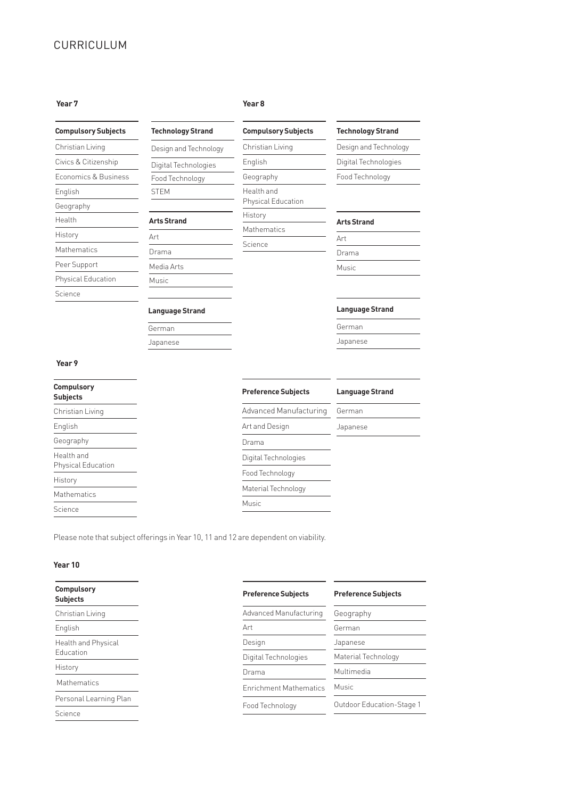# CURRICULUM

| <b>Compulsory Subjects</b> |
|----------------------------|
| Christian Living           |
| Civics & Citizenship       |
| Economics & Business       |
| English                    |
| Geography                  |
| Health                     |
| History                    |
| <b>Mathematics</b>         |
| Peer Support               |
| Physical Education         |
| Science                    |

#### **Year 7 Year 8**

| <b>Technology Strand</b> |  |  |
|--------------------------|--|--|
| Design and Technology    |  |  |
| Digital Technologies     |  |  |
| Food Technology          |  |  |

STEM

Art Drama Media Arts Music

**Arts Strand**

**Language Strand**

German Japanese

Science

| <b>Compulsory Subjects</b>       |
|----------------------------------|
| Christian Living                 |
| English                          |
| Geography                        |
| Health and<br>Physical Education |
| History                          |
| Mathematics                      |

## **Technology Strand**

Design and Technology Digital Technologies Food Technology

## **Arts Strand**

| Art   |  |  |
|-------|--|--|
| Drama |  |  |
| Music |  |  |

## **Language Strand**

German Japanese

#### **Year 9**

| <b>Compulsory</b><br><b>Subjects</b> | <b>Preference Subjects</b> | <b>Language Strand</b> |
|--------------------------------------|----------------------------|------------------------|
| Christian Living                     | Advanced Manufacturing     | German                 |
| English                              | Art and Design             | Japanese               |
| Geography                            | Drama                      |                        |
| Health and<br>Physical Education     | Digital Technologies       |                        |
| History                              | Food Technology            |                        |
| <b>Mathematics</b>                   | Material Technology        |                        |
|                                      | Music                      |                        |
| Science                              |                            |                        |

Please note that subject offerings in Year 10, 11 and 12 are dependent on viability.

## **Year 10**

| <b>Compulsory</b><br><b>Subjects</b> | <b>Preference Subjects</b>    | <b>Preference Subjects</b> |  |
|--------------------------------------|-------------------------------|----------------------------|--|
| Christian Living                     | Advanced Manufacturing        | Geography                  |  |
| English                              | Art                           | German                     |  |
| Health and Physical                  | Design                        | Japanese                   |  |
| Fducation                            | Digital Technologies          | Material Technology        |  |
| History                              | Drama                         | Multimedia<br>Music        |  |
| Mathematics                          | <b>Enrichment Mathematics</b> |                            |  |
| Personal Learning Plan               |                               |                            |  |
| Science                              | Food Technology               | Outdoor Education-Stage 1  |  |